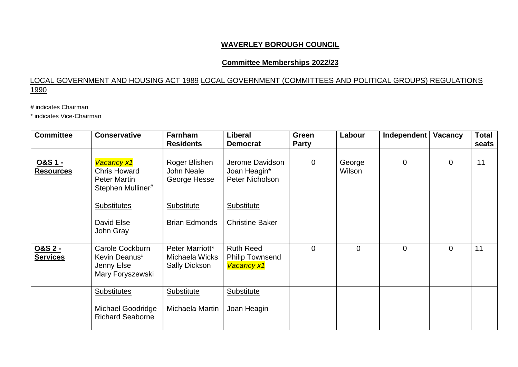### **WAVERLEY BOROUGH COUNCIL**

#### **Committee Memberships 2022/23**

### LOCAL GOVERNMENT AND HOUSING ACT 1989 LOCAL GOVERNMENT (COMMITTEES AND POLITICAL GROUPS) REGULATIONS 1990

# indicates Chairman

\* indicates Vice-Chairman

| <b>Committee</b>                       | <b>Conservative</b>                                                           | <b>Farnham</b><br><b>Residents</b>                 | Liberal<br><b>Democrat</b>                                      | Green<br><b>Party</b> | Labour           | Independent    | <b>Vacancy</b> | <b>Total</b><br>seats |
|----------------------------------------|-------------------------------------------------------------------------------|----------------------------------------------------|-----------------------------------------------------------------|-----------------------|------------------|----------------|----------------|-----------------------|
| <u>O&amp;S 1 -</u><br><b>Resources</b> | Vacancy x1<br><b>Chris Howard</b><br><b>Peter Martin</b><br>Stephen Mulliner# | Roger Blishen<br><b>John Neale</b><br>George Hesse | Jerome Davidson<br>Joan Heagin*<br>Peter Nicholson              | $\overline{0}$        | George<br>Wilson | $\overline{0}$ | $\overline{0}$ | 11                    |
|                                        | <b>Substitutes</b><br>David Else<br>John Gray                                 | Substitute<br><b>Brian Edmonds</b>                 | <b>Substitute</b><br><b>Christine Baker</b>                     |                       |                  |                |                |                       |
| O&S 2 -<br><b>Services</b>             | Carole Cockburn<br>Kevin Deanus#<br>Jenny Else<br>Mary Foryszewski            | Peter Marriott*<br>Michaela Wicks<br>Sally Dickson | <b>Ruth Reed</b><br><b>Philip Townsend</b><br><b>Vacancy x1</b> | $\Omega$              | $\overline{0}$   | $\overline{0}$ | $\overline{0}$ | 11                    |
|                                        | <b>Substitutes</b><br>Michael Goodridge<br><b>Richard Seaborne</b>            | <b>Substitute</b><br>Michaela Martin               | <b>Substitute</b><br>Joan Heagin                                |                       |                  |                |                |                       |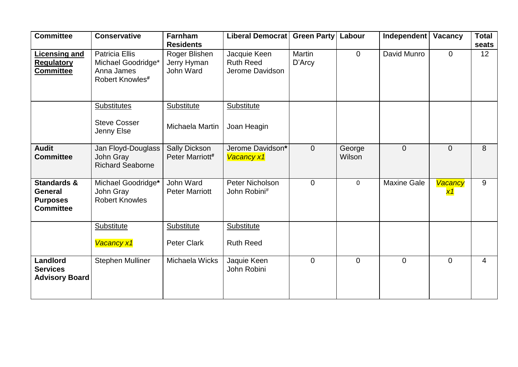| <b>Committee</b>                                                                | <b>Conservative</b>                                                                      | <b>Farnham</b><br><b>Residents</b>        | Liberal Democrat Green Party                        |                         | Labour           | Independent        | <b>Vacancy</b>       | <b>Total</b><br>seats |
|---------------------------------------------------------------------------------|------------------------------------------------------------------------------------------|-------------------------------------------|-----------------------------------------------------|-------------------------|------------------|--------------------|----------------------|-----------------------|
| <b>Licensing and</b><br><b>Regulatory</b><br><b>Committee</b>                   | <b>Patricia Ellis</b><br>Michael Goodridge*<br>Anna James<br>Robert Knowles <sup>#</sup> | Roger Blishen<br>Jerry Hyman<br>John Ward | Jacquie Keen<br><b>Ruth Reed</b><br>Jerome Davidson | <b>Martin</b><br>D'Arcy | $\mathbf 0$      | David Munro        | $\overline{0}$       | 12                    |
|                                                                                 | <b>Substitutes</b><br><b>Steve Cosser</b><br>Jenny Else                                  | Substitute<br>Michaela Martin             | <b>Substitute</b><br>Joan Heagin                    |                         |                  |                    |                      |                       |
| <b>Audit</b><br><b>Committee</b>                                                | Jan Floyd-Douglass<br>John Gray<br><b>Richard Seaborne</b>                               | <b>Sally Dickson</b><br>Peter Marriott#   | Jerome Davidson*<br><b>Vacancy x1</b>               | $\overline{0}$          | George<br>Wilson | $\Omega$           | $\overline{0}$       | 8                     |
| <b>Standards &amp;</b><br><b>General</b><br><b>Purposes</b><br><b>Committee</b> | Michael Goodridge*<br>John Gray<br><b>Robert Knowles</b>                                 | John Ward<br><b>Peter Marriott</b>        | Peter Nicholson<br>John Robini#                     | $\overline{0}$          | $\mathbf 0$      | <b>Maxine Gale</b> | Vacancy<br><u>x1</u> | 9                     |
|                                                                                 | <b>Substitute</b><br>Vacancy x1                                                          | <b>Substitute</b><br><b>Peter Clark</b>   | <b>Substitute</b><br><b>Ruth Reed</b>               |                         |                  |                    |                      |                       |
| Landlord<br><b>Services</b><br><b>Advisory Board</b>                            | <b>Stephen Mulliner</b>                                                                  | Michaela Wicks                            | Jaquie Keen<br>John Robini                          | $\overline{0}$          | $\overline{0}$   | $\Omega$           | $\overline{0}$       | 4                     |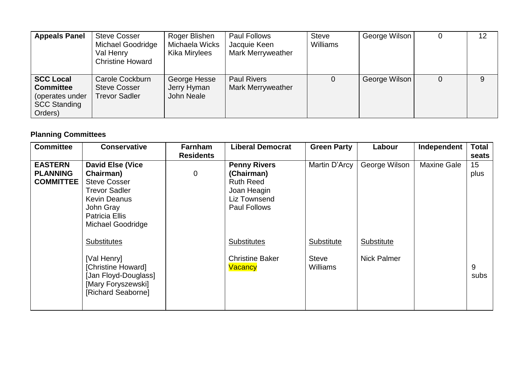| <b>Appeals Panel</b>                                                                      | <b>Steve Cosser</b><br><b>Michael Goodridge</b><br>Val Henry<br><b>Christine Howard</b> | Roger Blishen<br>Michaela Wicks<br>Kika Mirylees | <b>Paul Follows</b><br>Jacquie Keen<br><b>Mark Merryweather</b> | <b>Steve</b><br><b>Williams</b> | George Wilson |   | 12 |
|-------------------------------------------------------------------------------------------|-----------------------------------------------------------------------------------------|--------------------------------------------------|-----------------------------------------------------------------|---------------------------------|---------------|---|----|
| <b>SCC Local</b><br><b>Committee</b><br>(operates under<br><b>SCC Standing</b><br>Orders) | Carole Cockburn<br><b>Steve Cosser</b><br>Trevor Sadler                                 | George Hesse<br>Jerry Hyman<br>John Neale        | <b>Paul Rivers</b><br><b>Mark Merryweather</b>                  | $\Omega$                        | George Wilson | 0 | 9  |

# **Planning Committees**

| <b>Committee</b>                                      | <b>Conservative</b>                                                                                                                                                          | Farnham<br><b>Residents</b> | <b>Liberal Democrat</b>                                                                                     | <b>Green Party</b>                            | Labour                           | Independent        | <b>Total</b><br>seats |
|-------------------------------------------------------|------------------------------------------------------------------------------------------------------------------------------------------------------------------------------|-----------------------------|-------------------------------------------------------------------------------------------------------------|-----------------------------------------------|----------------------------------|--------------------|-----------------------|
| <b>EASTERN</b><br><b>PLANNING</b><br><b>COMMITTEE</b> | <b>David Else (Vice</b><br>Chairman)<br><b>Steve Cosser</b><br><b>Trevor Sadler</b><br><b>Kevin Deanus</b><br>John Gray<br><b>Patricia Ellis</b><br><b>Michael Goodridge</b> | $\boldsymbol{0}$            | <b>Penny Rivers</b><br>(Chairman)<br><b>Ruth Reed</b><br>Joan Heagin<br>Liz Townsend<br><b>Paul Follows</b> | Martin D'Arcy                                 | George Wilson                    | <b>Maxine Gale</b> | 15<br>plus            |
|                                                       | <b>Substitutes</b><br>[Val Henry]<br>[Christine Howard]<br>[Jan Floyd-Douglass]<br>[Mary Foryszewski]<br>[Richard Seaborne]                                                  |                             | <b>Substitutes</b><br><b>Christine Baker</b><br><b>Vacancy</b>                                              | Substitute<br><b>Steve</b><br><b>Williams</b> | Substitute<br><b>Nick Palmer</b> |                    | 9<br>subs             |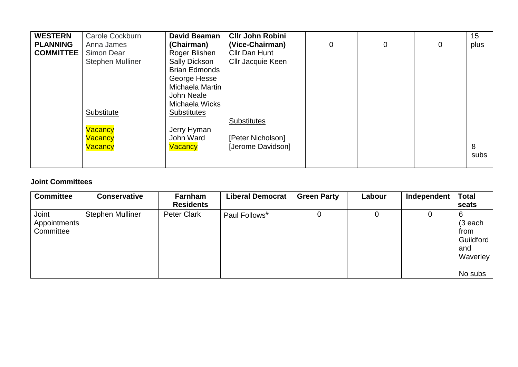| <b>WESTERN</b>   | Carole Cockburn         | <b>David Beaman</b>  | <b>CIIr John Robini</b>  |   |                |                | 15   |
|------------------|-------------------------|----------------------|--------------------------|---|----------------|----------------|------|
| <b>PLANNING</b>  | Anna James              | (Chairman)           | (Vice-Chairman)          | 0 | $\overline{0}$ | $\overline{0}$ | plus |
| <b>COMMITTEE</b> | Simon Dear              | Roger Blishen        | Cllr Dan Hunt            |   |                |                |      |
|                  | <b>Stephen Mulliner</b> | Sally Dickson        | <b>CIIr Jacquie Keen</b> |   |                |                |      |
|                  |                         | <b>Brian Edmonds</b> |                          |   |                |                |      |
|                  |                         | George Hesse         |                          |   |                |                |      |
|                  |                         | Michaela Martin      |                          |   |                |                |      |
|                  |                         | John Neale           |                          |   |                |                |      |
|                  |                         | Michaela Wicks       |                          |   |                |                |      |
|                  | Substitute              | <b>Substitutes</b>   |                          |   |                |                |      |
|                  |                         |                      | <b>Substitutes</b>       |   |                |                |      |
|                  | Vacancy                 | Jerry Hyman          |                          |   |                |                |      |
|                  | Vacancy                 | John Ward            | [Peter Nicholson]        |   |                |                |      |
|                  | Vacancy                 | <b>Vacancy</b>       | [Jerome Davidson]        |   |                |                | 8    |
|                  |                         |                      |                          |   |                |                | subs |
|                  |                         |                      |                          |   |                |                |      |

## **Joint Committees**

| <b>Conservative</b>     | Farnham            | Liberal Democrat          | <b>Green Party</b> | Labour | Independent | <b>Total</b>                                                      |
|-------------------------|--------------------|---------------------------|--------------------|--------|-------------|-------------------------------------------------------------------|
|                         | <b>Residents</b>   |                           |                    |        |             | seats                                                             |
| <b>Stephen Mulliner</b> | <b>Peter Clark</b> | Paul Follows <sup>#</sup> | O                  |        | U           | 6<br>$(3$ each<br>from<br>Guildford<br>and<br>Waverley<br>No subs |
|                         |                    |                           |                    |        |             |                                                                   |